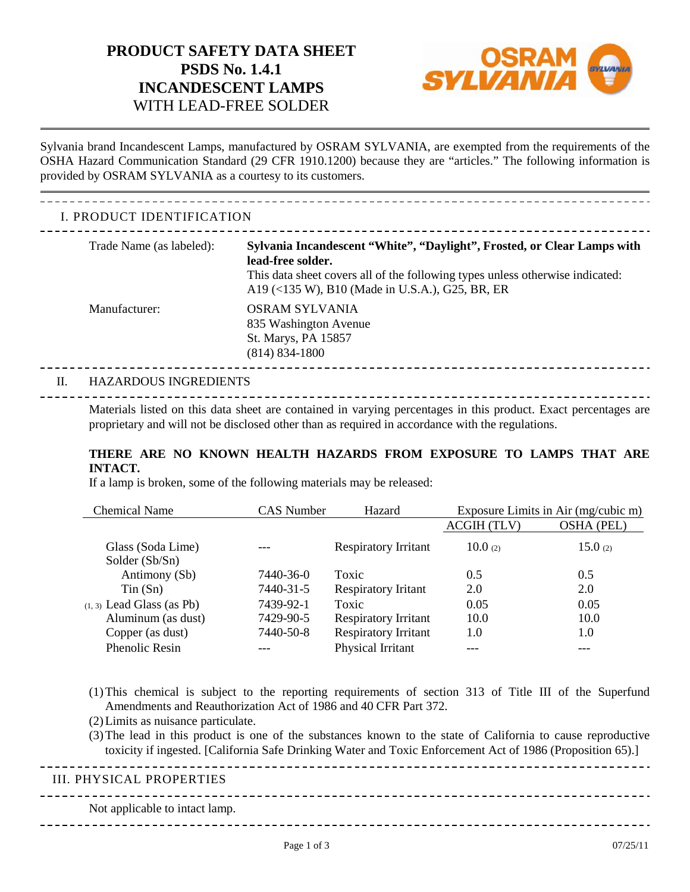# **PRODUCT SAFETY DATA SHEET PSDS No. 1.4.1 INCANDESCENT LAMPS** WITH LEAD-FREE SOLDER



 Sylvania brand Incandescent Lamps, manufactured by OSRAM SYLVANIA, are exempted from the requirements of the OSHA Hazard Communication Standard (29 CFR 1910.1200) because they are "articles." The following information is provided by OSRAM SYLVANIA as a courtesy to its customers.

## I. PRODUCT IDENTIFICATION

| Trade Name (as labeled): | Sylvania Incandescent "White", "Daylight", Frosted, or Clear Lamps with<br>lead-free solder.<br>This data sheet covers all of the following types unless otherwise indicated:<br>A19 (<135 W), B10 (Made in U.S.A.), G25, BR, ER |
|--------------------------|----------------------------------------------------------------------------------------------------------------------------------------------------------------------------------------------------------------------------------|
| Manufacturer:            | OSRAM SYLVANIA<br>835 Washington Avenue<br>St. Marys, PA 15857<br>$(814) 834 - 1800$                                                                                                                                             |

#### II. HAZARDOUS INGREDIENTS

 proprietary and will not be disclosed other than as required in accordance with the regulations. Materials listed on this data sheet are contained in varying percentages in this product. Exact percentages are

#### **THERE ARE NO KNOWN HEALTH HAZARDS FROM EXPOSURE TO LAMPS THAT ARE INTACT.**

If a lamp is broken, some of the following materials may be released:

| <b>Chemical Name</b>                | <b>CAS Number</b> | Hazard                      |             | Exposure Limits in Air (mg/cubic m) |
|-------------------------------------|-------------------|-----------------------------|-------------|-------------------------------------|
|                                     |                   |                             | ACGIH (TLV) | OSHA (PEL)                          |
| Glass (Soda Lime)<br>Solder (Sb/Sn) |                   | <b>Respiratory Irritant</b> | 10.0 $(2)$  | 15.0 $(2)$                          |
| Antimony (Sb)                       | 7440-36-0         | Toxic                       | 0.5         | 0.5                                 |
| $T$ in $(Sn)$                       | 7440-31-5         | <b>Respiratory Iritant</b>  | 2.0         | 2.0                                 |
| $(1, 3)$ Lead Glass (as Pb)         | 7439-92-1         | Toxic                       | 0.05        | 0.05                                |
| Aluminum (as dust)                  | 7429-90-5         | <b>Respiratory Irritant</b> | 10.0        | 10.0                                |
| Copper (as dust)                    | 7440-50-8         | <b>Respiratory Irritant</b> | 1.0         | $1.0\,$                             |
| <b>Phenolic Resin</b>               |                   | Physical Irritant           |             |                                     |

- (1) This chemical is subject to the reporting requirements of section 313 of Title III of the Superfund Amendments and Reauthorization Act of 1986 and 40 CFR Part 372.
- (2) Limits as nuisance particulate.
- (3) The lead in this product is one of the substances known to the state of California to cause reproductive toxicity if ingested. [California Safe Drinking Water and Toxic Enforcement Act of 1986 (Proposition 65).]

III. PHYSICAL PROPERTIES Not applicable to intact lamp. \_\_\_\_\_\_\_\_\_\_\_\_\_\_\_\_\_\_\_\_\_\_\_\_\_\_\_\_\_\_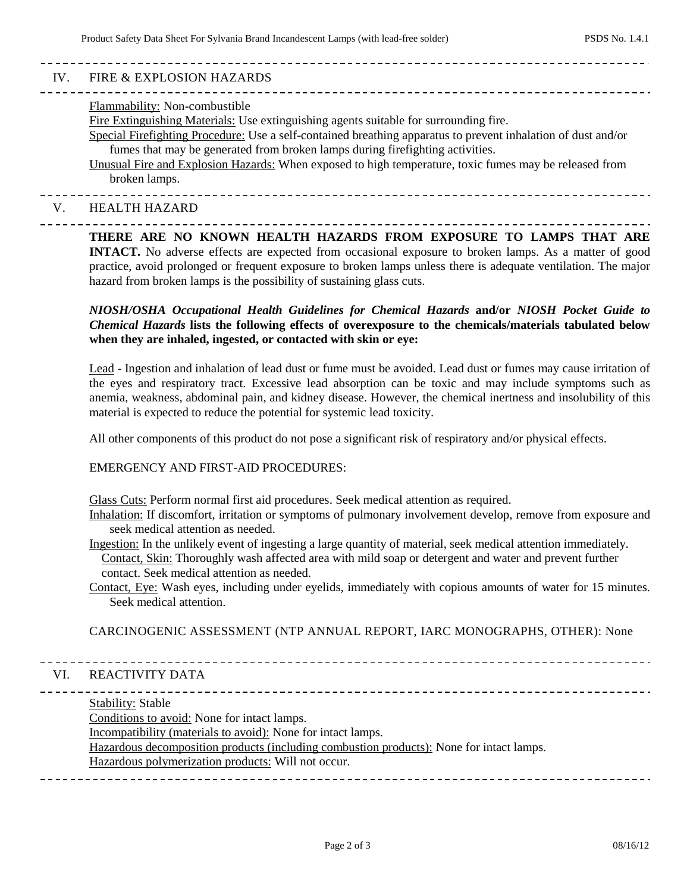| IV. | FIRE & EXPLOSION HAZARDS                                                                                                                                                                                                                                                                                                                                                                                                                            |
|-----|-----------------------------------------------------------------------------------------------------------------------------------------------------------------------------------------------------------------------------------------------------------------------------------------------------------------------------------------------------------------------------------------------------------------------------------------------------|
|     | Flammability: Non-combustible<br>Fire Extinguishing Materials: Use extinguishing agents suitable for surrounding fire.<br>Special Firefighting Procedure: Use a self-contained breathing apparatus to prevent inhalation of dust and/or<br>fumes that may be generated from broken lamps during firefighting activities.<br>Unusual Fire and Explosion Hazards: When exposed to high temperature, toxic fumes may be released from<br>broken lamps. |
| V.  | <b>HEALTH HAZARD</b>                                                                                                                                                                                                                                                                                                                                                                                                                                |
|     | THERE ARE NO KNOWN HEALTH HAZARDS FROM EXPOSURE TO LAMPS THAT ARE                                                                                                                                                                                                                                                                                                                                                                                   |

 **INTACT.** No adverse effects are expected from occasional exposure to broken lamps. As a matter of good practice, avoid prolonged or frequent exposure to broken lamps unless there is adequate ventilation. The major hazard from broken lamps is the possibility of sustaining glass cuts.

#### **when they are inhaled, ingested, or contacted with skin or eye:**  *NIOSH/OSHA Occupational Health Guidelines for Chemical Hazards* **and/or** *NIOSH Pocket Guide to Chemical Hazards* **lists the following effects of overexposure to the chemicals/materials tabulated below**

 Lead - Ingestion and inhalation of lead dust or fume must be avoided. Lead dust or fumes may cause irritation of the eyes and respiratory tract. Excessive lead absorption can be toxic and may include symptoms such as material is expected to reduce the potential for systemic lead toxicity. anemia, weakness, abdominal pain, and kidney disease. However, the chemical inertness and insolubility of this

All other components of this product do not pose a significant risk of respiratory and/or physical effects.

#### EMERGENCY AND FIRST-AID PROCEDURES:

Glass Cuts: Perform normal first aid procedures. Seek medical attention as required.

- Inhalation: If discomfort, irritation or symptoms of pulmonary involvement develop, remove from exposure and seek medical attention as needed.
- contact. Seek medical attention as needed. Ingestion: In the unlikely event of ingesting a large quantity of material, seek medical attention immediately. Contact, Skin: Thoroughly wash affected area with mild soap or detergent and water and prevent further
- Contact, Eye: Wash eyes, including under eyelids, immediately with copious amounts of water for 15 minutes. Seek medical attention.

CARCINOGENIC ASSESSMENT (NTP ANNUAL REPORT, IARC MONOGRAPHS, OTHER): None

## VI. REACTIVITY DATA

Stability: Stable

Conditions to avoid: None for intact lamps.

Incompatibility (materials to avoid): None for intact lamps.

Hazardous decomposition products (including combustion products): None for intact lamps.

#### Hazardous polymerization products: Will not occur.

Page 2 of 3 08/16/12